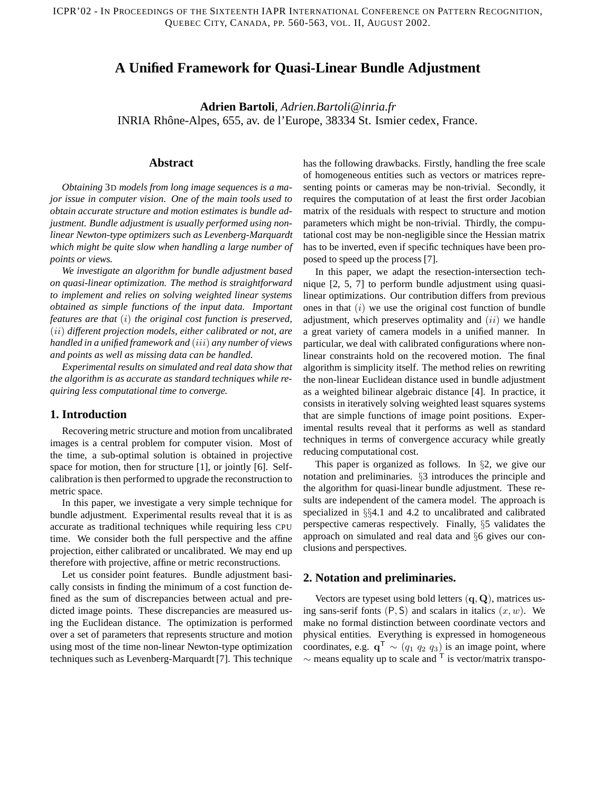# **A Unified Framework for Quasi-Linear Bundle Adjustment**

**Adrien Bartoli**, *Adrien.Bartoli@inria.fr* INRIA Rhône-Alpes, 655, av. de l'Europe, 38334 St. Ismier cedex, France.

## **Abstract**

*Obtaining* 3D *models from long image sequences is a major issue in computer vision. One of the main tools used to obtain accurate structure and motion estimates is bundle adjustment. Bundle adjustment is usually performed using nonlinear Newton-type optimizers such as Levenberg-Marquardt which might be quite slow when handling a large number of points or views.*

*We investigate an algorithm for bundle adjustment based on quasi-linear optimization. The method is straightforward to implement and relies on solving weighted linear systems obtained as simple functions of the input data. Important features are that* (i) *the original cost function is preserved,* (ii) *different projection models, either calibrated or not, are handled in a unified framework and* (iii) *any number of views and points as well as missing data can be handled.*

*Experimental results on simulated and real data show that the algorithm is as accurate as standard techniques while requiring less computational time to converge.*

#### **1. Introduction**

Recovering metric structure and motion from uncalibrated images is a central problem for computer vision. Most of the time, a sub-optimal solution is obtained in projective space for motion, then for structure [1], or jointly [6]. Selfcalibration is then performed to upgrade the reconstruction to metric space.

In this paper, we investigate a very simple technique for bundle adjustment. Experimental results reveal that it is as accurate as traditional techniques while requiring less CPU time. We consider both the full perspective and the affine projection, either calibrated or uncalibrated. We may end up therefore with projective, affine or metric reconstructions.

Let us consider point features. Bundle adjustment basically consists in finding the minimum of a cost function defined as the sum of discrepancies between actual and predicted image points. These discrepancies are measured using the Euclidean distance. The optimization is performed over a set of parameters that represents structure and motion using most of the time non-linear Newton-type optimization techniques such as Levenberg-Marquardt [7]. This technique

has the following drawbacks. Firstly, handling the free scale of homogeneous entities such as vectors or matrices representing points or cameras may be non-trivial. Secondly, it requires the computation of at least the first order Jacobian matrix of the residuals with respect to structure and motion parameters which might be non-trivial. Thirdly, the computational cost may be non-negligible since the Hessian matrix has to be inverted, even if specific techniques have been proposed to speed up the process [7].

In this paper, we adapt the resection-intersection technique [2, 5, 7] to perform bundle adjustment using quasilinear optimizations. Our contribution differs from previous ones in that  $(i)$  we use the original cost function of bundle adjustment, which preserves optimality and  $(ii)$  we handle a great variety of camera models in a unified manner. In particular, we deal with calibrated configurations where nonlinear constraints hold on the recovered motion. The final algorithm is simplicity itself. The method relies on rewriting the non-linear Euclidean distance used in bundle adjustment as a weighted bilinear algebraic distance [4]. In practice, it consists in iteratively solving weighted least squares systems that are simple functions of image point positions. Experimental results reveal that it performs as well as standard techniques in terms of convergence accuracy while greatly reducing computational cost.

This paper is organized as follows. In §2, we give our notation and preliminaries. §3 introduces the principle and the algorithm for quasi-linear bundle adjustment. These results are independent of the camera model. The approach is specialized in §§4.1 and 4.2 to uncalibrated and calibrated perspective cameras respectively. Finally, §5 validates the approach on simulated and real data and §6 gives our conclusions and perspectives.

### **2. Notation and preliminaries.**

Vectors are typeset using bold letters  $(q, Q)$ , matrices using sans-serif fonts  $(P, S)$  and scalars in italics  $(x, w)$ . We make no formal distinction between coordinate vectors and physical entities. Everything is expressed in homogeneous coordinates, e.g.  $q^{\mathsf{T}} \sim (q_1 \, q_2 \, q_3)$  is an image point, where  $\sim$  means equality up to scale and  $\overline{\ }$  is vector/matrix transpo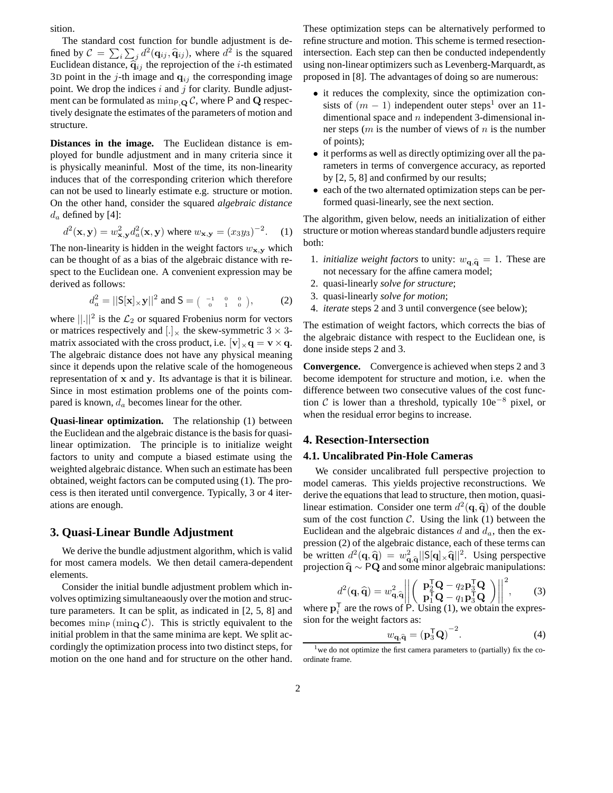sition.

The standard cost function for bundle adjustment is defined by  $C = \sum_i \sum_j d^2(\mathbf{q}_{ij}, \hat{\mathbf{q}}_{ij})$ , where  $d^2$  is the squared Euclidean distance,  $\hat{q}_{ij}$  the reprojection of the *i*-th estimated 3D point in the *j*-th image and  $q_{ij}$  the corresponding image point. We drop the indices  $i$  and  $j$  for clarity. Bundle adjustment can be formulated as  $\min_{P,Q} C$ , where P and Q respectively designate the estimates of the parameters of motion and structure.

**Distances in the image.** The Euclidean distance is employed for bundle adjustment and in many criteria since it is physically meaninful. Most of the time, its non-linearity induces that of the corresponding criterion which therefore can not be used to linearly estimate e.g. structure or motion. On the other hand, consider the squared *algebraic distance*  $d_a$  defined by [4]:

$$
d^{2}(\mathbf{x}, \mathbf{y}) = w_{\mathbf{x}, \mathbf{y}}^{2} d_{a}^{2}(\mathbf{x}, \mathbf{y}) \text{ where } w_{\mathbf{x}, \mathbf{y}} = (x_{3}y_{3})^{-2}. \quad (1)
$$

The non-linearity is hidden in the weight factors  $w_{\mathbf{x},\mathbf{y}}$  which can be thought of as a bias of the algebraic distance with respect to the Euclidean one. A convenient expression may be derived as follows:

$$
d_a^2 = ||\mathbf{S}[\mathbf{x}] \times \mathbf{y}||^2 \text{ and } \mathbf{S} = \begin{pmatrix} -1 & 0 & 0 \\ 0 & 1 & 0 \end{pmatrix}, \tag{2}
$$

where  $\lVert . \rVert^2$  is the  $\mathcal{L}_2$  or squared Frobenius norm for vectors or matrices respectively and  $[.]$ <sub>x</sub> the skew-symmetric 3  $\times$  3matrix associated with the cross product, i.e.  $|v|_x \mathbf{q} = \mathbf{v} \times \mathbf{q}$ . The algebraic distance does not have any physical meaning since it depends upon the relative scale of the homogeneous representation of x and y. Its advantage is that it is bilinear. Since in most estimation problems one of the points compared is known,  $d_a$  becomes linear for the other.

**Quasi-linear optimization.** The relationship (1) between the Euclidean and the algebraic distance is the basis for quasilinear optimization. The principle is to initialize weight factors to unity and compute a biased estimate using the weighted algebraic distance. When such an estimate has been obtained, weight factors can be computed using (1). The process is then iterated until convergence. Typically, 3 or 4 iterations are enough.

## **3. Quasi-Linear Bundle Adjustment**

We derive the bundle adjustment algorithm, which is valid for most camera models. We then detail camera-dependent elements.

Consider the initial bundle adjustment problem which involves optimizing simultaneaously over the motion and structure parameters. It can be split, as indicated in [2, 5, 8] and becomes  $\min_{\mathbf{P}} (\min_{\mathbf{Q}} C)$ . This is strictly equivalent to the initial problem in that the same minima are kept. We split accordingly the optimization process into two distinct steps, for motion on the one hand and for structure on the other hand.

These optimization steps can be alternatively performed to refine structure and motion. This scheme is termed resectionintersection. Each step can then be conducted independently using non-linear optimizers such as Levenberg-Marquardt, as proposed in [8]. The advantages of doing so are numerous:

- it reduces the complexity, since the optimization consists of  $(m - 1)$  independent outer steps<sup>1</sup> over an 11dimentional space and  $n$  independent 3-dimensional inner steps  $(m \text{ is the number of views of } n \text{ is the number})$ of points);
- it performs as well as directly optimizing over all the parameters in terms of convergence accuracy, as reported by [2, 5, 8] and confirmed by our results;
- each of the two alternated optimization steps can be performed quasi-linearly, see the next section.

The algorithm, given below, needs an initialization of either structure or motion whereas standard bundle adjusters require both:

- 1. *initialize weight factors* to unity:  $w_{\mathbf{q},\hat{\mathbf{q}}} = 1$ . These are not necessary for the affine camera model;
- 2. quasi-linearly *solve for structure*;
- 3. quasi-linearly *solve for motion*;
- 4. *iterate* steps 2 and 3 until convergence (see below);

The estimation of weight factors, which corrects the bias of the algebraic distance with respect to the Euclidean one, is done inside steps 2 and 3.

**Convergence.** Convergence is achieved when steps 2 and 3 become idempotent for structure and motion, i.e. when the difference between two consecutive values of the cost function C is lower than a threshold, typically 10e−<sup>8</sup> pixel, or when the residual error begins to increase.

#### **4. Resection-Intersection**

### **4.1. Uncalibrated Pin-Hole Cameras**

We consider uncalibrated full perspective projection to model cameras. This yields projective reconstructions. We derive the equations that lead to structure, then motion, quasilinear estimation. Consider one term  $d^2(\mathbf{q}, \hat{\mathbf{q}})$  of the double sum of the cost function  $C$ . Using the link (1) between the Euclidean and the algebraic distances  $d$  and  $d_a$ , then the expression (2) of the algebraic distance, each of these terms can be written  $d^2(\mathbf{q}, \hat{\mathbf{q}}) = w_{\mathbf{q}}^2$  $\frac{2}{\mathbf{q},\hat{\mathbf{q}}}||\mathsf{S}[\mathbf{q}] \times \hat{\mathbf{q}}||^2$ . Using perspective projection  $\hat{\mathbf{q}} \sim \mathbf{PQ}$  and some minor algebraic manipulations:

$$
d^2(\mathbf{q}, \widehat{\mathbf{q}}) = w_{\mathbf{q}, \widehat{\mathbf{q}}}^2 \left\| \left( \begin{array}{c} \mathbf{p}_2^{\mathsf{T}} \mathbf{Q} - q_2 \mathbf{p}_3^{\mathsf{T}} \mathbf{Q} \\ \mathbf{p}_1^{\mathsf{T}} \mathbf{Q} - q_1 \mathbf{p}_3^{\mathsf{T}} \mathbf{Q} \end{array} \right) \right\|^2, \tag{3}
$$

where  $\mathbf{p}_i^T$  are the rows of  $\overrightarrow{P}$ . Using (1), we obtain the expression for the weight factors as:

$$
w_{\mathbf{q},\hat{\mathbf{q}}} = (\mathbf{p}_3^{\mathsf{T}} \mathbf{Q})^{-2}.
$$
 (4)

<sup>&</sup>lt;sup>1</sup> we do not optimize the first camera parameters to (partially) fix the coordinate frame.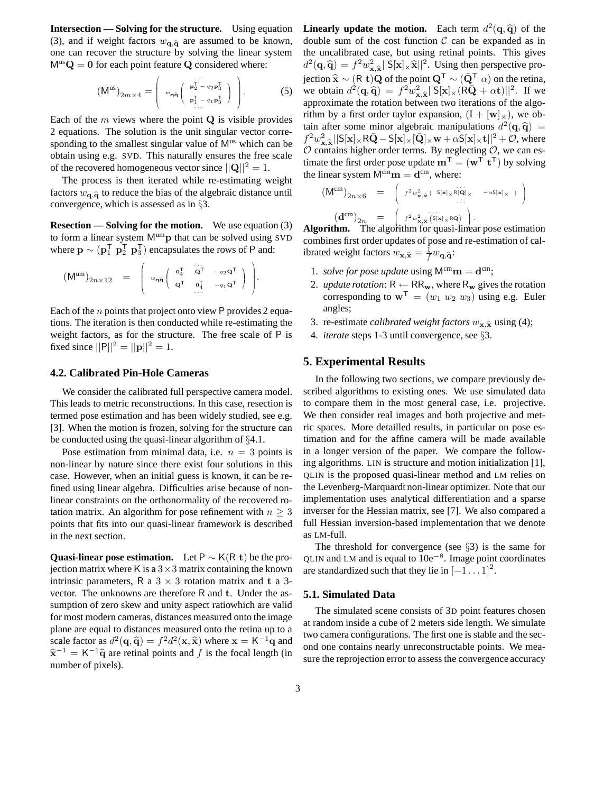**Intersection — Solving for the structure.** Using equation (3), and if weight factors  $w_{q,\hat{q}}$  are assumed to be known, one can recover the structure by solving the linear system  $M^{us}Q = 0$  for each point feature Q considered where:

$$
\left(\mathsf{M}^{\mathrm{us}}\right)_{2m\times 4} = \left(\begin{array}{c} \mathbf{w}_{\mathbf{q}\hat{\mathbf{q}}} \left(\begin{array}{c} \mathbf{p}_2^{\mathrm{T}} - q_2 \mathbf{p}_3^{\mathrm{T}} \\ \mathbf{p}_2^{\mathrm{T}} - q_1 \mathbf{p}_3^{\mathrm{T}} \end{array}\right) \\ \mathbf{p}_1^{\mathrm{T}} - q_1 \mathbf{p}_3^{\mathrm{T}} \end{array}\right). \tag{5}
$$

Each of the  $m$  views where the point  $Q$  is visible provides 2 equations. The solution is the unit singular vector corresponding to the smallest singular value of  $M<sup>us</sup>$  which can be obtain using e.g. SVD. This naturally ensures the free scale of the recovered homogeneous vector since  $||\mathbf{Q}||^2 = 1$ .

The process is then iterated while re-estimating weight factors  $w_{\mathbf{q},\widehat{\mathbf{q}}}$  to reduce the bias of the algebraic distance until convergence, which is assessed as in §3.

**Resection — Solving for the motion.** We use equation (3) to form a linear system  $M^{um}$ p that can be solved using SVD where  $\mathbf{p} \sim (\mathbf{p}_1^T \ \mathbf{p}_2^T \ \mathbf{p}_3^T)$  encapsulates the rows of P and:

.

$$
\left(\mathsf{M}^{\mathrm{um}}\right)_{2n\times 12} \;\; = \;\; \left(\begin{array}{cc} \sigma_4^{\intercal} & \stackrel{\cdot \cdot \cdot \cdot \mathsf{T}}{\mathsf{Q}^{\intercal}} & \scriptstyle -q_2\mathsf{Q}^{\intercal} \\ \sigma_4^{\intercal} & \mathsf{Q}^{\intercal} & \scriptstyle \sigma_4^{\intercal} & \scriptstyle -q_1\mathsf{Q}^{\intercal} \end{array}\right) \;\; \right)
$$

Each of the n points that project onto view P provides 2 equations. The iteration is then conducted while re-estimating the weight factors, as for the structure. The free scale of P is fixed since  $||P||^2 = ||P||^2 = 1$ .

### **4.2. Calibrated Pin-Hole Cameras**

We consider the calibrated full perspective camera model. This leads to metric reconstructions. In this case, resection is termed pose estimation and has been widely studied, see e.g. [3]. When the motion is frozen, solving for the structure can be conducted using the quasi-linear algorithm of §4.1.

Pose estimation from minimal data, i.e.  $n = 3$  points is non-linear by nature since there exist four solutions in this case. However, when an initial guess is known, it can be refined using linear algebra. Difficulties arise because of nonlinear constraints on the orthonormality of the recovered rotation matrix. An algorithm for pose refinement with  $n \geq 3$ points that fits into our quasi-linear framework is described in the next section.

**Quasi-linear pose estimation.** Let P  $\sim$  K(R t) be the projection matrix where K is a  $3 \times 3$  matrix containing the known intrinsic parameters, R a  $3 \times 3$  rotation matrix and t a 3vector. The unknowns are therefore R and t. Under the assumption of zero skew and unity aspect ratiowhich are valid for most modern cameras, distances measured onto the image plane are equal to distances measured onto the retina up to a scale factor as  $d^2(\mathbf{q}, \hat{\mathbf{q}}) = f^2 d^2(\mathbf{x}, \hat{\mathbf{x}})$  where  $\mathbf{x} = \mathsf{K}^{-1} \hat{\mathbf{q}}$  and  $\hat{\mathbf{x}}^{-1} = \mathsf{K}^{-1}\hat{\mathbf{q}}$  are retinal points and f is the focal length (in number of pixels).

**Linearly update the motion.** Each term  $d^2(\mathbf{q}, \hat{\mathbf{q}})$  of the double sum of the cost function  $\mathcal C$  can be expanded as in the uncalibrated case, but using retinal points. This gives  $d^2(\mathbf{q}, \hat{\mathbf{q}}) = f^2 w_{\mathbf{x}, \hat{\mathbf{x}}}^2 ||\mathbf{S}[\mathbf{x}] \times \hat{\mathbf{x}}||^2$ . Using then perspective pro- $\alpha$  (**q**, **q**) = *j*  $\alpha$ <sub>x, $\hat{x}$ ||⊃[A]×A|| : csing then perspective pro-<br>jection  $\hat{x}$  ∼ (R t)Q of the point  $Q^T$  ∼ ( $\overline{Q}^T$   $\alpha$ ) on the retina,</sub> we obtain  $d^2(\mathbf{q}, \hat{\mathbf{q}}) = f^2 w_{\mathbf{x}}^2$  $\frac{2}{\mathbf{x}, \hat{\mathbf{x}}} ||\mathbf{S}[\mathbf{x}] \times (\mathbf{R}\bar{\mathbf{Q}} + \alpha \mathbf{t})||^2$ . If we approximate the rotation between two iterations of the algorithm by a first order taylor expansion,  $(I + [w]_{\times})$ , we obtain after some minor algebraic manipulations  $d^2(\mathbf{q}, \hat{\mathbf{q}}) =$  $f^2w_{\mathbf{x}}^2$   $||\mathsf{S}[\mathbf{x}] \times \mathsf{R}\bar{\mathbf{Q}} - \mathsf{S}[\mathbf{x}] \times [\bar{\mathbf{Q}}] \times \mathbf{w} + \alpha \mathsf{S}[\mathbf{x}] \times \mathbf{t}||^2 + \mathcal{O}$ , where  $\mathcal{O}$  contains higher order terms. By neglecting  $\mathcal{O}$ , we can estimate the first order pose update  $\mathbf{m}^{\mathsf{T}} = (\mathbf{w}^{\mathsf{T}} \mathbf{t}^{\mathsf{T}})$  by solving the linear system  $M^{cm}$ **m** =  $d^{cm}$ , where:

$$
\begin{array}{rcl}\n\left(\mathsf{M}^{\mathrm{cm}}\right)_{2n\times 6} & = & \left(\begin{array}{cc} f^{2}w_{\mathbf{x},\widehat{\mathbf{x}}}^{2} \left( \begin{array}{cc} \mathsf{S}[\mathbf{x}]_{\times}\mathsf{R}[\widehat{\mathbf{Q}}]_{\times} & -\alpha\mathsf{S}[\mathbf{x}]_{\times} \end{array} \right) \\ \cdots \end{array}\right) \\
\left(\mathbf{d}^{\mathrm{cm}}\right)_{2n} & = & \left(\begin{array}{cc} f^{2}w_{\mathbf{x},\widehat{\mathbf{x}}}^{2} \left( \mathsf{S}[\mathbf{x}]_{\times}\mathsf{R}\widehat{\mathbf{Q}} \right) \end{array}\right).\n\end{array}
$$

 $\mathbf{Algorithm.}$  The algorithm for quasi-linear pose estimation combines first order updates of pose and re-estimation of calibrated weight factors  $w_{\mathbf{x}, \hat{\mathbf{x}}} = \frac{1}{f} w_{\mathbf{q}, \hat{\mathbf{q}}}$ :

- 1. *solve for pose update* using  $M^{cm}$ **m** =  $d^{cm}$ ;
- 2. *update rotation*:  $R \leftarrow RR_w$ , where  $R_w$  gives the rotation corresponding to  $\mathbf{w}^T = (w_1 \ w_2 \ w_3)$  using e.g. Euler angles;
- 3. re-estimate *calibrated* weight *factors*  $w_{\mathbf{x},\hat{\mathbf{x}}}$  using (4);
- 4. *iterate* steps 1-3 until convergence, see §3.

## **5. Experimental Results**

In the following two sections, we compare previously described algorithms to existing ones. We use simulated data to compare them in the most general case, i.e. projective. We then consider real images and both projective and metric spaces. More detailled results, in particular on pose estimation and for the affine camera will be made available in a longer version of the paper. We compare the following algorithms. LIN is structure and motion initialization [1], QLIN is the proposed quasi-linear method and LM relies on the Levenberg-Marquardt non-linear optimizer. Note that our implementation uses analytical differentiation and a sparse inverser for the Hessian matrix, see [7]. We also compared a full Hessian inversion-based implementation that we denote as LM-full.

The threshold for convergence (see  $\S$ 3) is the same for QLIN and LM and is equal to  $10e^{-8}$ . Image point coordinates are standardized such that they lie in  $[-1 \dots 1]^2$ .

#### **5.1. Simulated Data**

The simulated scene consists of 3D point features chosen at random inside a cube of 2 meters side length. We simulate two camera configurations. The first one is stable and the second one contains nearly unreconstructable points. We measure the reprojection error to assess the convergence accuracy